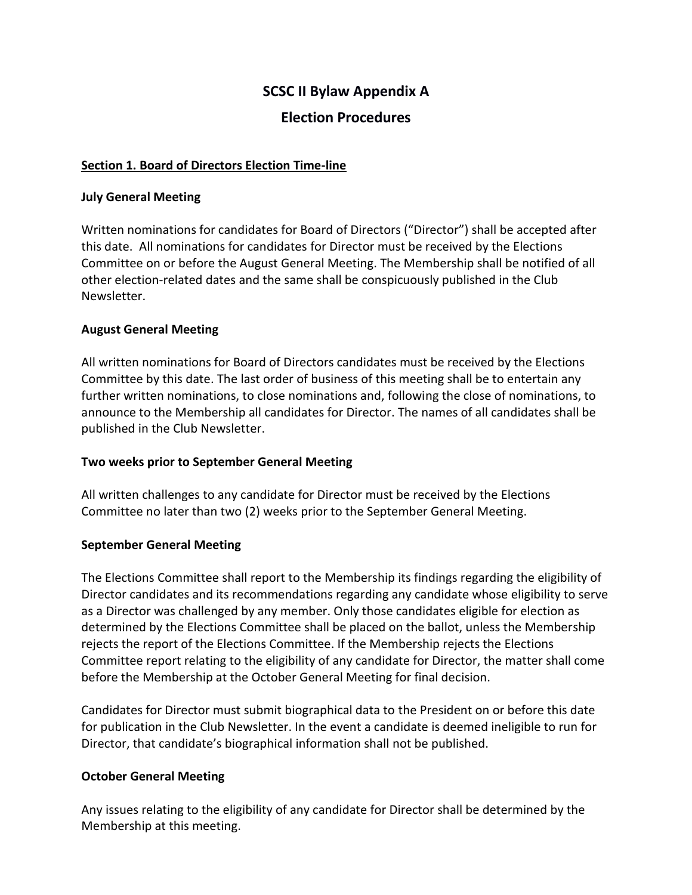# **SCSC II Bylaw Appendix A Election Procedures**

# **Section 1. Board of Directors Election Time-line**

#### **July General Meeting**

Written nominations for candidates for Board of Directors ("Director") shall be accepted after this date. All nominations for candidates for Director must be received by the Elections Committee on or before the August General Meeting. The Membership shall be notified of all other election-related dates and the same shall be conspicuously published in the Club Newsletter.

#### **August General Meeting**

All written nominations for Board of Directors candidates must be received by the Elections Committee by this date. The last order of business of this meeting shall be to entertain any further written nominations, to close nominations and, following the close of nominations, to announce to the Membership all candidates for Director. The names of all candidates shall be published in the Club Newsletter.

#### **Two weeks prior to September General Meeting**

All written challenges to any candidate for Director must be received by the Elections Committee no later than two (2) weeks prior to the September General Meeting.

#### **September General Meeting**

The Elections Committee shall report to the Membership its findings regarding the eligibility of Director candidates and its recommendations regarding any candidate whose eligibility to serve as a Director was challenged by any member. Only those candidates eligible for election as determined by the Elections Committee shall be placed on the ballot, unless the Membership rejects the report of the Elections Committee. If the Membership rejects the Elections Committee report relating to the eligibility of any candidate for Director, the matter shall come before the Membership at the October General Meeting for final decision.

Candidates for Director must submit biographical data to the President on or before this date for publication in the Club Newsletter. In the event a candidate is deemed ineligible to run for Director, that candidate's biographical information shall not be published.

#### **October General Meeting**

Any issues relating to the eligibility of any candidate for Director shall be determined by the Membership at this meeting.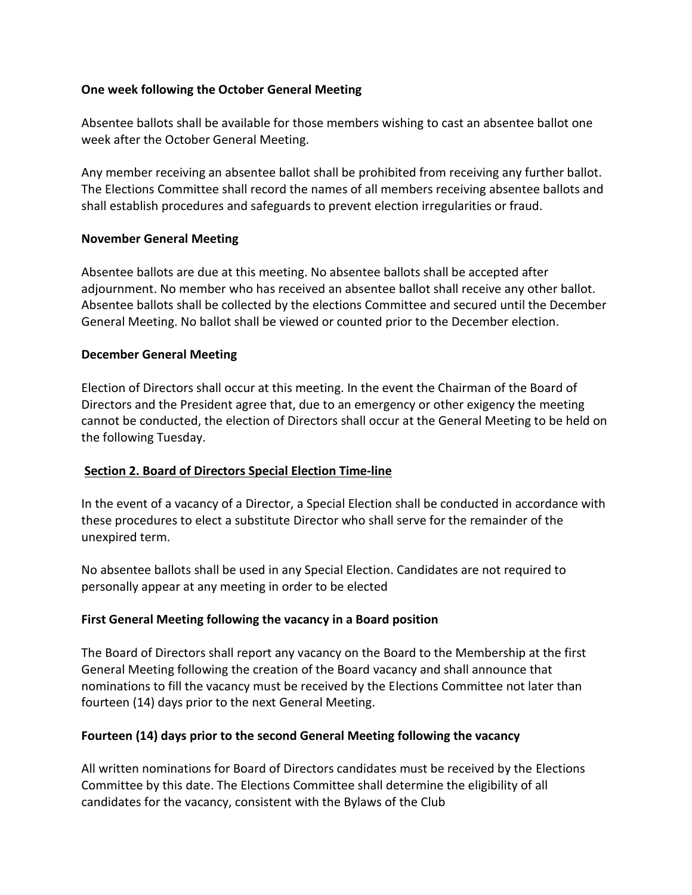# **One week following the October General Meeting**

Absentee ballots shall be available for those members wishing to cast an absentee ballot one week after the October General Meeting.

Any member receiving an absentee ballot shall be prohibited from receiving any further ballot. The Elections Committee shall record the names of all members receiving absentee ballots and shall establish procedures and safeguards to prevent election irregularities or fraud.

#### **November General Meeting**

Absentee ballots are due at this meeting. No absentee ballots shall be accepted after adjournment. No member who has received an absentee ballot shall receive any other ballot. Absentee ballots shall be collected by the elections Committee and secured until the December General Meeting. No ballot shall be viewed or counted prior to the December election.

# **December General Meeting**

Election of Directors shall occur at this meeting. In the event the Chairman of the Board of Directors and the President agree that, due to an emergency or other exigency the meeting cannot be conducted, the election of Directors shall occur at the General Meeting to be held on the following Tuesday.

# **Section 2. Board of Directors Special Election Time-line**

In the event of a vacancy of a Director, a Special Election shall be conducted in accordance with these procedures to elect a substitute Director who shall serve for the remainder of the unexpired term.

No absentee ballots shall be used in any Special Election. Candidates are not required to personally appear at any meeting in order to be elected

# **First General Meeting following the vacancy in a Board position**

The Board of Directors shall report any vacancy on the Board to the Membership at the first General Meeting following the creation of the Board vacancy and shall announce that nominations to fill the vacancy must be received by the Elections Committee not later than fourteen (14) days prior to the next General Meeting.

# **Fourteen (14) days prior to the second General Meeting following the vacancy**

All written nominations for Board of Directors candidates must be received by the Elections Committee by this date. The Elections Committee shall determine the eligibility of all candidates for the vacancy, consistent with the Bylaws of the Club